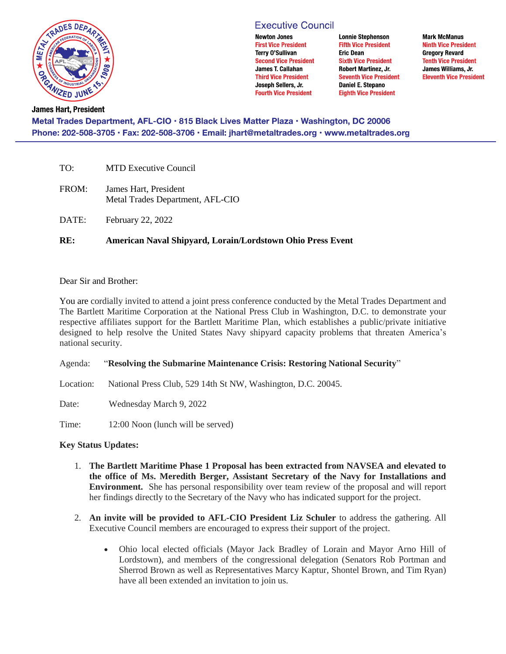

# **Executive Council**

**Newton Jones First Vice President Terry O'Sullivan Second Vice President** James T. Callahan **Third Vice President** Joseph Sellers, Jr. **Fourth Vice President** 

**Lonnie Stephenson Fifth Vice President Eric Dean Sixth Vice President** Robert Martinez, Jr. **Seventh Vice President** Daniel E. Stepano **Eighth Vice President** 

**Mark McManus Ninth Vice President Gregory Revard Tenth Vice President** James Williams, Jr. **Eleventh Vice President** 

**James Hart, President** Metal Trades Department, AFL-CIO · 815 Black Lives Matter Plaza · Washington, DC 20006 Phone: 202-508-3705 · Fax: 202-508-3706 · Email: jhart@metaltrades.org · www.metaltrades.org

| RE:   | American Naval Shipyard, Lorain/Lordstown Ohio Press Event |
|-------|------------------------------------------------------------|
| DATE: | February 22, 2022                                          |
| FROM: | James Hart, President<br>Metal Trades Department, AFL-CIO  |
| TO:   | <b>MTD Executive Council</b>                               |

## Dear Sir and Brother:

You are cordially invited to attend a joint press conference conducted by the Metal Trades Department and The Bartlett Maritime Corporation at the National Press Club in Washington, D.C. to demonstrate your respective affiliates support for the Bartlett Maritime Plan, which establishes a public/private initiative designed to help resolve the United States Navy shipyard capacity problems that threaten America's national security.

Agenda: "**Resolving the Submarine Maintenance Crisis: Restoring National Security**"

Location: National Press Club, 529 14th St NW, Washington, D.C. 20045.

Date: Wednesday March 9, 2022

Time: 12:00 Noon (lunch will be served)

## **Key Status Updates:**

- 1. **The Bartlett Maritime Phase 1 Proposal has been extracted from NAVSEA and elevated to the office of Ms. Meredith Berger, Assistant Secretary of the Navy for Installations and Environment.** She has personal responsibility over team review of the proposal and will report her findings directly to the Secretary of the Navy who has indicated support for the project.
- 2. **An invite will be provided to AFL-CIO President Liz Schuler** to address the gathering. All Executive Council members are encouraged to express their support of the project.
	- Ohio local elected officials (Mayor Jack Bradley of Lorain and Mayor Arno Hill of Lordstown), and members of the congressional delegation (Senators Rob Portman and Sherrod Brown as well as Representatives Marcy Kaptur, Shontel Brown, and Tim Ryan) have all been extended an invitation to join us.